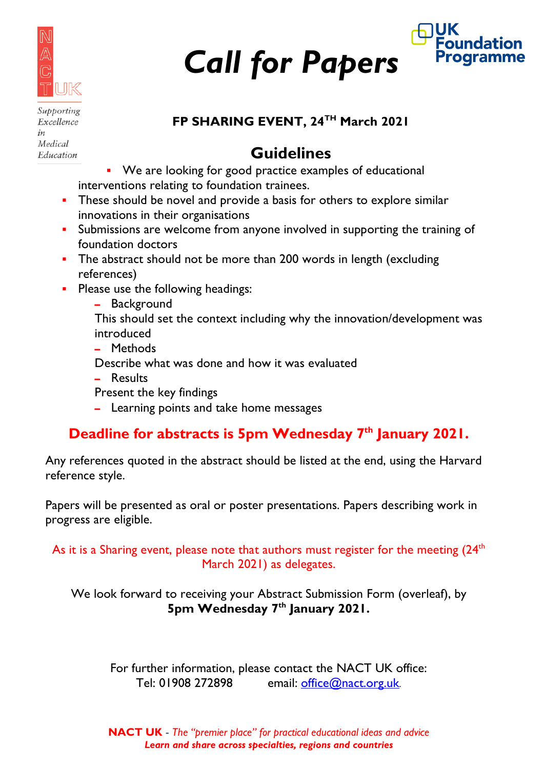

*Call for Papers*



Supporting Excellence  $in$ Medical Education

#### **FP SHARING EVENT, 24TH March 2021**

## **Guidelines**

- We are looking for good practice examples of educational interventions relating to foundation trainees.
- **These should be novel and provide a basis for others to explore similar** innovations in their organisations
- **Submissions are welcome from anyone involved in supporting the training of Strain** foundation doctors
- The abstract should not be more than 200 words in length (excluding references)
- **Please use the following headings:** 
	- **–** Background
	- This should set the context including why the innovation/development was introduced
	- **–** Methods

Describe what was done and how it was evaluated

**–** Results

Present the key findings

**–** Learning points and take home messages

### **Deadline for abstracts is 5pm Wednesday 7th January 2021.**

Any references quoted in the abstract should be listed at the end, using the Harvard reference style.

Papers will be presented as oral or poster presentations. Papers describing work in progress are eligible.

As it is a Sharing event, please note that authors must register for the meeting  $(24<sup>th</sup>$ March 2021) as delegates.

We look forward to receiving your Abstract Submission Form (overleaf), by **5pm Wednesday 7th January 2021.**

For further information, please contact the NACT UK office: Tel: 01908 272898 email:  $office@nact.org.uk$ 

**NACT UK** - *The "premier place" for practical educational ideas and advice Learn and share across specialties, regions and countries*